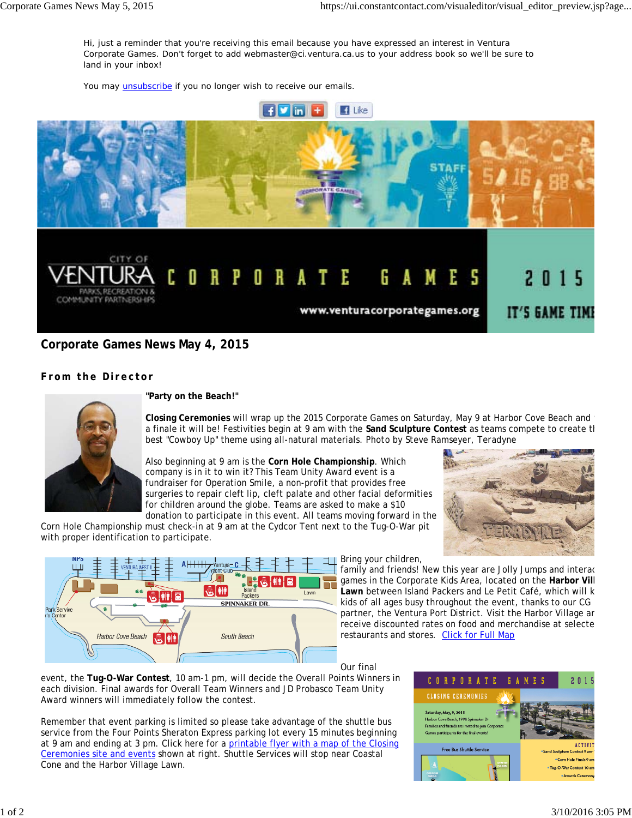Hi, just a reminder that you're receiving this email because you have expressed an interest in Ventura Corporate Games. Don't forget to add webmaster@ci.ventura.ca.us to your address book so we'll be sure to land in your inbox!

You may *unsubscribe* if you no longer wish to receive our emails.



## **Corporate Games News May 4, 2015**

## **From the Director**



**"Party on the Beach!"**

**Closing Ceremonies** will wrap up the 2015 Corporate Games on Saturday, May 9 at Harbor Cove Beach and w a finale it will be! Festivities begin at 9 am with the **Sand Sculpture Contest** as teams compete to create th best "Cowboy Up" theme using all-natural materials. *Photo by Steve Ramseyer, Teradyne*

Also beginning at 9 am is the **Corn Hole Championship**. Which company is in it to win it? This Team Unity Award event is a fundraiser for Operation Smile, a non-profit that provides free surgeries to repair cleft lip, cleft palate and other facial deformities for children around the globe. Teams are asked to make a \$10



donation to participate in this event. All teams moving forward in the Corn Hole Championship must check-in at 9 am at the Cydcor Tent next to the Tug-O-War pit with proper identification to participate.



**Bring your children,** 

family and friends! New this year are Jolly Jumps and interac games in the Corporate Kids Area, located on the **Harbor Vill Lawn** between Island Packers and Le Petit Café, which will k kids of all ages busy throughout the event, thanks to our CG partner, the Ventura Port District. Visit the Harbor Village an receive discounted rates on food and merchandise at selecte restaurants and stores. Click for Full Map

Our final

event, the **Tug-O-War Contest**, 10 am-1 pm, will decide the Overall Points Winners in each division. Final awards for Overall Team Winners and JD Probasco Team Unity Award winners will immediately follow the contest.

Remember that event parking is limited so please take advantage of the shuttle bus service from the Four Points Sheraton Express parking lot every 15 minutes beginning at 9 am and ending at 3 pm. Click here for a printable flyer with a map of the Closing Ceremonies site and events shown at right. Shuttle Services will stop near Coastal Cone and the Harbor Village Lawn.